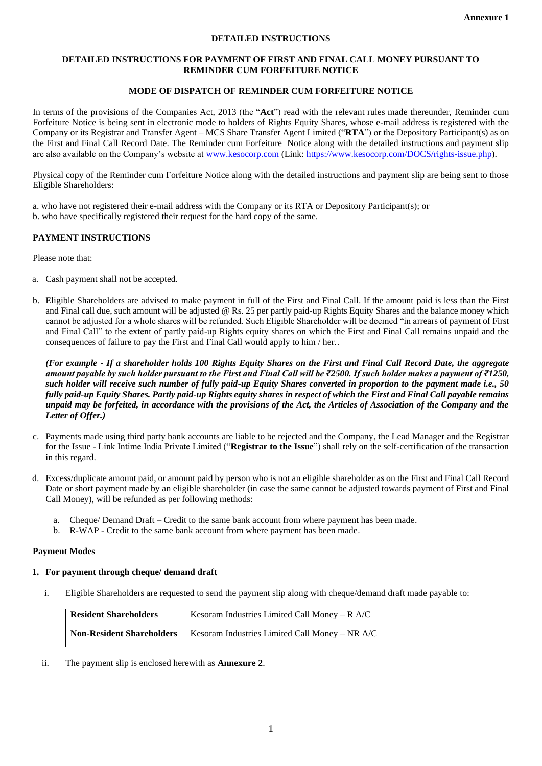## **DETAILED INSTRUCTIONS**

#### **DETAILED INSTRUCTIONS FOR PAYMENT OF FIRST AND FINAL CALL MONEY PURSUANT TO REMINDER CUM FORFEITURE NOTICE**

## **MODE OF DISPATCH OF REMINDER CUM FORFEITURE NOTICE**

In terms of the provisions of the Companies Act, 2013 (the "**Act**") read with the relevant rules made thereunder, Reminder cum Forfeiture Notice is being sent in electronic mode to holders of Rights Equity Shares, whose e-mail address is registered with the Company or its Registrar and Transfer Agent – MCS Share Transfer Agent Limited ("**RTA**") or the Depository Participant(s) as on the First and Final Call Record Date. The Reminder cum Forfeiture Notice along with the detailed instructions and payment slip are also available on the Company's website at [www.kesocorp.com](http://www.kesocorp.com/) (Link[: https://www.kesocorp.com/DOCS/rights-issue.php\)](https://www.kesocorp.com/DOCS/rights-issue.php).

Physical copy of the Reminder cum Forfeiture Notice along with the detailed instructions and payment slip are being sent to those Eligible Shareholders:

a. who have not registered their e-mail address with the Company or its RTA or Depository Participant(s); or b. who have specifically registered their request for the hard copy of the same.

## **PAYMENT INSTRUCTIONS**

Please note that:

- a. Cash payment shall not be accepted.
- b. Eligible Shareholders are advised to make payment in full of the First and Final Call. If the amount paid is less than the First and Final call due, such amount will be adjusted @ Rs. 25 per partly paid-up Rights Equity Shares and the balance money which cannot be adjusted for a whole shares will be refunded. Such Eligible Shareholder will be deemed "in arrears of payment of First and Final Call" to the extent of partly paid-up Rights equity shares on which the First and Final Call remains unpaid and the consequences of failure to pay the First and Final Call would apply to him / her..

*(For example - If a shareholder holds 100 Rights Equity Shares on the First and Final Call Record Date, the aggregate amount payable by such holder pursuant to the First and Final Call will be ₹2500. If such holder makes a payment of ₹1250, such holder will receive such number of fully paid-up Equity Shares converted in proportion to the payment made i.e., 50 fully paid-up Equity Shares. Partly paid-up Rights equity shares in respect of which the First and Final Call payable remains unpaid may be forfeited, in accordance with the provisions of the Act, the Articles of Association of the Company and the Letter of Offer.)*

- c. Payments made using third party bank accounts are liable to be rejected and the Company, the Lead Manager and the Registrar for the Issue - Link Intime India Private Limited ("**Registrar to the Issue**") shall rely on the self-certification of the transaction in this regard.
- d. Excess/duplicate amount paid, or amount paid by person who is not an eligible shareholder as on the First and Final Call Record Date or short payment made by an eligible shareholder (in case the same cannot be adjusted towards payment of First and Final Call Money), will be refunded as per following methods:
	- a. Cheque/ Demand Draft Credit to the same bank account from where payment has been made.
	- b. R-WAP Credit to the same bank account from where payment has been made.

### **Payment Modes**

### **1. For payment through cheque/ demand draft**

i. Eligible Shareholders are requested to send the payment slip along with cheque/demand draft made payable to:

| <b>Resident Shareholders</b>     | Kesoram Industries Limited Call Money – $R$ A/C |
|----------------------------------|-------------------------------------------------|
| <b>Non-Resident Shareholders</b> | Kesoram Industries Limited Call Money – NR A/C  |

ii. The payment slip is enclosed herewith as **Annexure 2**.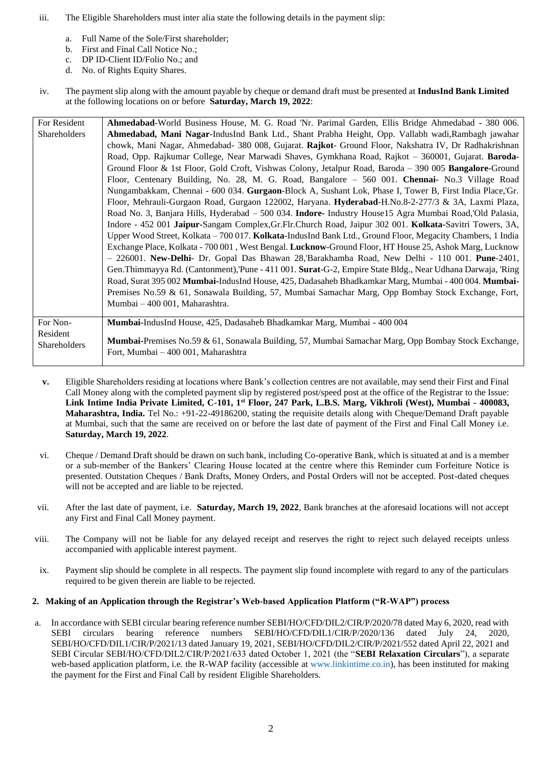- iii. The Eligible Shareholders must inter alia state the following details in the payment slip:
	- a. Full Name of the Sole/First shareholder;
	- b. First and Final Call Notice No.;
	- c. DP ID-Client ID/Folio No.; and
	- d. No. of Rights Equity Shares.
- iv. The payment slip along with the amount payable by cheque or demand draft must be presented at **IndusInd Bank Limited** at the following locations on or before **Saturday, March 19, 2022**:

| For Resident | Ahmedabad-World Business House, M. G. Road 'Nr. Parimal Garden, Ellis Bridge Ahmedabad - 380 006.                                          |
|--------------|--------------------------------------------------------------------------------------------------------------------------------------------|
| Shareholders | Ahmedabad, Mani Nagar-IndusInd Bank Ltd., Shant Prabha Height, Opp. Vallabh wadi, Rambagh jawahar                                          |
|              | chowk, Mani Nagar, Ahmedabad- 380 008, Gujarat. Rajkot- Ground Floor, Nakshatra IV, Dr Radhakrishnan                                       |
|              | Road, Opp. Rajkumar College, Near Marwadi Shaves, Gymkhana Road, Rajkot - 360001, Gujarat. Baroda-                                         |
|              | Ground Floor & 1st Floor, Gold Croft, Vishwas Colony, Jetalpur Road, Baroda - 390 005 Bangalore-Ground                                     |
|              | Floor, Centenary Building, No. 28, M. G. Road, Bangalore - 560 001. Chennai- No.3 Village Road                                             |
|              | Nungambakkam, Chennai - 600 034. Gurgaon-Block A, Sushant Lok, Phase I, Tower B, First India Place, Gr.                                    |
|              | Floor, Mehrauli-Gurgaon Road, Gurgaon 122002, Haryana. Hyderabad-H.No.8-2-277/3 & 3A, Laxmi Plaza,                                         |
|              | Road No. 3, Banjara Hills, Hyderabad - 500 034. Indore- Industry House15 Agra Mumbai Road, Old Palasia,                                    |
|              | Indore - 452 001 Jaipur-Sangam Complex, Gr. Flr. Church Road, Jaipur 302 001. Kolkata-Savitri Towers, 3A,                                  |
|              | Upper Wood Street, Kolkata – 700 017. Kolkata-IndusInd Bank Ltd., Ground Floor, Megacity Chambers, 1 India                                 |
|              | Exchange Place, Kolkata - 700 001, West Bengal. Lucknow-Ground Floor, HT House 25, Ashok Marg, Lucknow                                     |
|              | $-226001$ . New-Delhi- Dr. Gopal Das Bhawan 28, Barakhamba Road, New Delhi - 110 001. Pune-2401,                                           |
|              | Gen. Thimmayya Rd. (Cantonment), Pune - 411 001. Surat-G-2, Empire State Bldg., Near Udhana Darwaja, 'Ring                                 |
|              | Road, Surat 395 002 Mumbai-IndusInd House, 425, Dadasaheb Bhadkamkar Marg, Mumbai - 400 004. Mumbai-                                       |
|              | Premises No.59 & 61, Sonawala Building, 57, Mumbai Samachar Marg, Opp Bombay Stock Exchange, Fort,                                         |
|              | Mumbai - 400 001, Maharashtra.                                                                                                             |
|              |                                                                                                                                            |
| For Non-     | Mumbai-IndusInd House, 425, Dadasaheb Bhadkamkar Marg, Mumbai - 400 004                                                                    |
| Resident     |                                                                                                                                            |
| Shareholders | Mumbai-Premises No.59 & 61, Sonawala Building, 57, Mumbai Samachar Marg, Opp Bombay Stock Exchange,<br>Fort. Mumbai – 400 001. Maharashtra |
|              |                                                                                                                                            |

- **v.** Eligible Shareholders residing at locations where Bank's collection centres are not available, may send their First and Final Call Money along with the completed payment slip by registered post/speed post at the office of the Registrar to the Issue: **Link Intime India Private Limited, C-101, 1st Floor, 247 Park, L.B.S. Marg, Vikhroli (West), Mumbai - 400083, Maharashtra, India.** Tel No.: +91-22-49186200, stating the requisite details along with Cheque/Demand Draft payable at Mumbai, such that the same are received on or before the last date of payment of the First and Final Call Money i.e. **Saturday, March 19, 2022**.
- vi. Cheque / Demand Draft should be drawn on such bank, including Co-operative Bank, which is situated at and is a member or a sub-member of the Bankers' Clearing House located at the centre where this Reminder cum Forfeiture Notice is presented. Outstation Cheques / Bank Drafts, Money Orders, and Postal Orders will not be accepted. Post-dated cheques will not be accepted and are liable to be rejected.
- vii. After the last date of payment, i.e. **Saturday, March 19, 2022**, Bank branches at the aforesaid locations will not accept any First and Final Call Money payment.
- viii. The Company will not be liable for any delayed receipt and reserves the right to reject such delayed receipts unless accompanied with applicable interest payment.
- ix. Payment slip should be complete in all respects. The payment slip found incomplete with regard to any of the particulars required to be given therein are liable to be rejected.

# **2. Making of an Application through the Registrar's Web-based Application Platform ("R-WAP") process**

a. In accordance with SEBI circular bearing reference number SEBI/HO/CFD/DIL2/CIR/P/2020/78 dated May 6, 2020, read with SEBI circulars bearing reference numbers SEBI/HO/CFD/DIL1/CIR/P/2020/136 dated July 24, 2020, SEBI/HO/CFD/DIL1/CIR/P/2021/13 dated January 19, 2021, SEBI/HO/CFD/DIL2/CIR/P/2021/552 dated April 22, 2021 and SEBI Circular SEBI/HO/CFD/DIL2/CIR/P/2021/633 dated October 1, 2021 (the "**SEBI Relaxation Circulars**"), a separate web-based application platform, i.e. the R-WAP facility (accessible at www.linkintime.co.in), has been instituted for making the payment for the First and Final Call by resident Eligible Shareholders.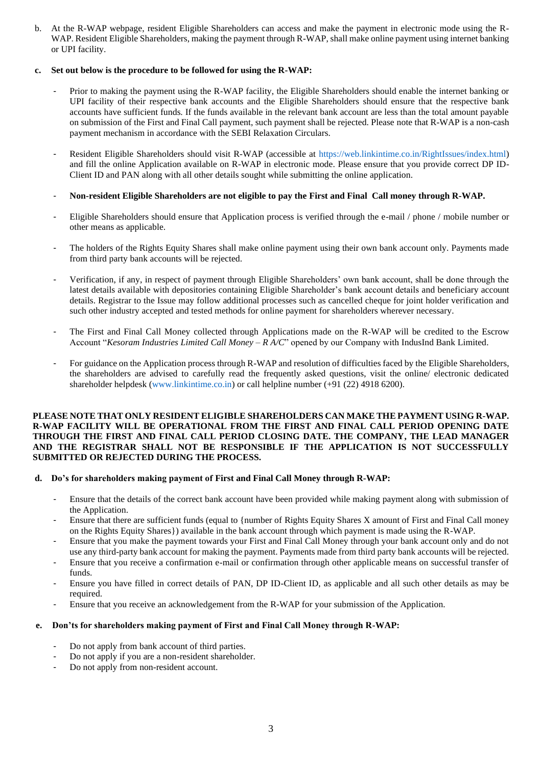b. At the R-WAP webpage, resident Eligible Shareholders can access and make the payment in electronic mode using the R-WAP. Resident Eligible Shareholders, making the payment through R-WAP, shall make online payment using internet banking or UPI facility.

### **c. Set out below is the procedure to be followed for using the R-WAP:**

- Prior to making the payment using the R-WAP facility, the Eligible Shareholders should enable the internet banking or UPI facility of their respective bank accounts and the Eligible Shareholders should ensure that the respective bank accounts have sufficient funds. If the funds available in the relevant bank account are less than the total amount payable on submission of the First and Final Call payment, such payment shall be rejected. Please note that R-WAP is a non-cash payment mechanism in accordance with the SEBI Relaxation Circulars.
- Resident Eligible Shareholders should visit R-WAP (accessible at https://web.linkintime.co.in/RightIssues/index.html) and fill the online Application available on R-WAP in electronic mode. Please ensure that you provide correct DP ID-Client ID and PAN along with all other details sought while submitting the online application.
- **Non-resident Eligible Shareholders are not eligible to pay the First and Final Call money through R-WAP.**
- Eligible Shareholders should ensure that Application process is verified through the e-mail / phone / mobile number or other means as applicable.
- The holders of the Rights Equity Shares shall make online payment using their own bank account only. Payments made from third party bank accounts will be rejected.
- Verification, if any, in respect of payment through Eligible Shareholders' own bank account, shall be done through the latest details available with depositories containing Eligible Shareholder's bank account details and beneficiary account details. Registrar to the Issue may follow additional processes such as cancelled cheque for joint holder verification and such other industry accepted and tested methods for online payment for shareholders wherever necessary.
- The First and Final Call Money collected through Applications made on the R-WAP will be credited to the Escrow Account "*Kesoram Industries Limited Call Money – R A/C*" opened by our Company with IndusInd Bank Limited.
- For guidance on the Application process through R-WAP and resolution of difficulties faced by the Eligible Shareholders, the shareholders are advised to carefully read the frequently asked questions, visit the online/ electronic dedicated shareholder helpdesk (www.linkintime.co.in) or call helpline number (+91 (22) 4918 6200).

#### **PLEASE NOTE THAT ONLY RESIDENT ELIGIBLE SHAREHOLDERS CAN MAKE THE PAYMENT USING R-WAP. R-WAP FACILITY WILL BE OPERATIONAL FROM THE FIRST AND FINAL CALL PERIOD OPENING DATE THROUGH THE FIRST AND FINAL CALL PERIOD CLOSING DATE. THE COMPANY, THE LEAD MANAGER AND THE REGISTRAR SHALL NOT BE RESPONSIBLE IF THE APPLICATION IS NOT SUCCESSFULLY SUBMITTED OR REJECTED DURING THE PROCESS.**

### **d. Do's for shareholders making payment of First and Final Call Money through R-WAP:**

- Ensure that the details of the correct bank account have been provided while making payment along with submission of the Application.
- Ensure that there are sufficient funds (equal to {number of Rights Equity Shares X amount of First and Final Call money on the Rights Equity Shares}) available in the bank account through which payment is made using the R-WAP.
- Ensure that you make the payment towards your First and Final Call Money through your bank account only and do not use any third-party bank account for making the payment. Payments made from third party bank accounts will be rejected.
- Ensure that you receive a confirmation e-mail or confirmation through other applicable means on successful transfer of funds.
- Ensure you have filled in correct details of PAN, DP ID-Client ID, as applicable and all such other details as may be required.
- Ensure that you receive an acknowledgement from the R-WAP for your submission of the Application.

### **e. Don'ts for shareholders making payment of First and Final Call Money through R-WAP:**

- Do not apply from bank account of third parties.
- Do not apply if you are a non-resident shareholder.
- Do not apply from non-resident account.